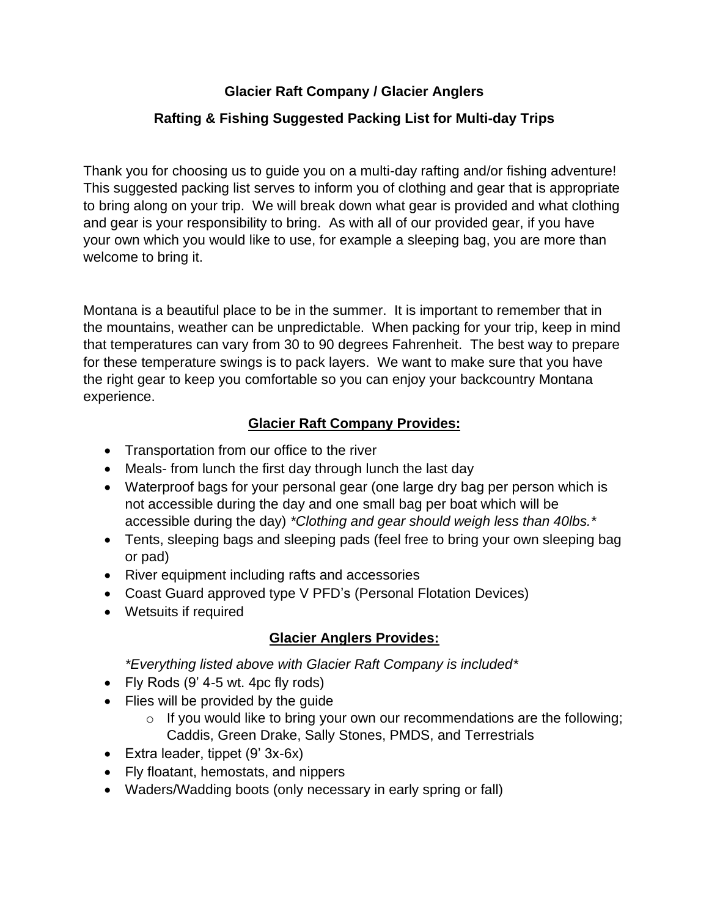## **Glacier Raft Company / Glacier Anglers**

## **Rafting & Fishing Suggested Packing List for Multi-day Trips**

Thank you for choosing us to guide you on a multi-day rafting and/or fishing adventure! This suggested packing list serves to inform you of clothing and gear that is appropriate to bring along on your trip. We will break down what gear is provided and what clothing and gear is your responsibility to bring. As with all of our provided gear, if you have your own which you would like to use, for example a sleeping bag, you are more than welcome to bring it.

Montana is a beautiful place to be in the summer. It is important to remember that in the mountains, weather can be unpredictable. When packing for your trip, keep in mind that temperatures can vary from 30 to 90 degrees Fahrenheit. The best way to prepare for these temperature swings is to pack layers. We want to make sure that you have the right gear to keep you comfortable so you can enjoy your backcountry Montana experience.

#### **Glacier Raft Company Provides:**

- Transportation from our office to the river
- Meals- from lunch the first day through lunch the last day
- Waterproof bags for your personal gear (one large dry bag per person which is not accessible during the day and one small bag per boat which will be accessible during the day) *\*Clothing and gear should weigh less than 40lbs.\**
- Tents, sleeping bags and sleeping pads (feel free to bring your own sleeping bag or pad)
- River equipment including rafts and accessories
- Coast Guard approved type V PFD's (Personal Flotation Devices)
- Wetsuits if required

#### **Glacier Anglers Provides:**

*\*Everything listed above with Glacier Raft Company is included\**

- Fly Rods (9' 4-5 wt. 4pc fly rods)
- Flies will be provided by the guide
	- o If you would like to bring your own our recommendations are the following; Caddis, Green Drake, Sally Stones, PMDS, and Terrestrials
- Extra leader, tippet (9' 3x-6x)
- Fly floatant, hemostats, and nippers
- Waders/Wadding boots (only necessary in early spring or fall)